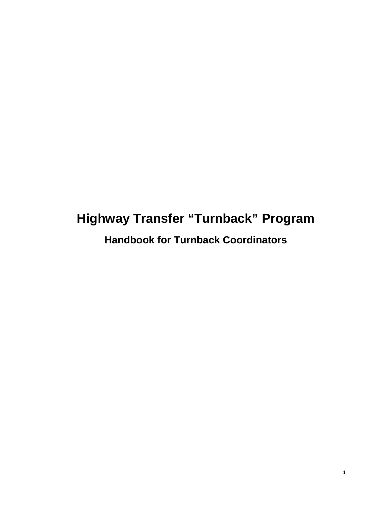# **Highway Transfer "Turnback" Program**

**Handbook for Turnback Coordinators**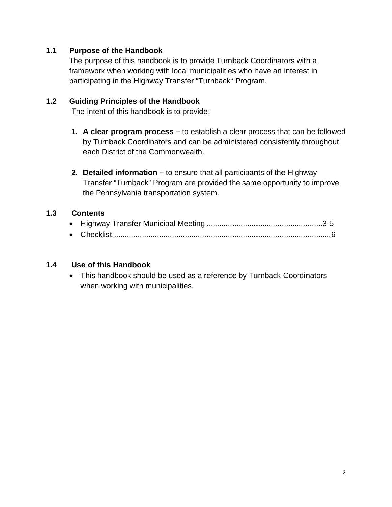# **1.1 Purpose of the Handbook**

The purpose of this handbook is to provide Turnback Coordinators with a framework when working with local municipalities who have an interest in participating in the Highway Transfer "Turnback" Program.

#### **1.2 Guiding Principles of the Handbook**

The intent of this handbook is to provide:

- **1. A clear program process –** to establish a clear process that can be followed by Turnback Coordinators and can be administered consistently throughout each District of the Commonwealth.
- **2. Detailed information –** to ensure that all participants of the Highway Transfer "Turnback" Program are provided the same opportunity to improve the Pennsylvania transportation system.

#### **1.3 Contents**

#### **1.4 Use of this Handbook**

• This handbook should be used as a reference by Turnback Coordinators when working with municipalities.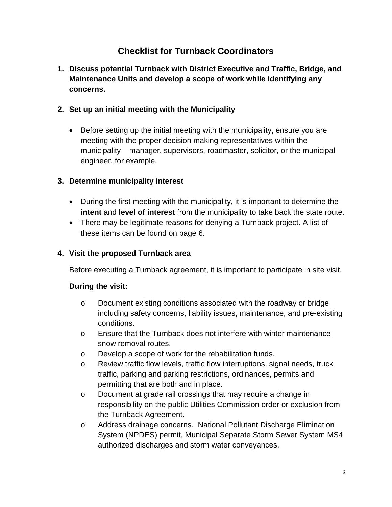# **Checklist for Turnback Coordinators**

**1. Discuss potential Turnback with District Executive and Traffic, Bridge, and Maintenance Units and develop a scope of work while identifying any concerns.**

# **2. Set up an initial meeting with the Municipality**

• Before setting up the initial meeting with the municipality, ensure you are meeting with the proper decision making representatives within the municipality – manager, supervisors, roadmaster, solicitor, or the municipal engineer, for example.

# **3. Determine municipality interest**

- During the first meeting with the municipality, it is important to determine the **intent** and **level of interest** from the municipality to take back the state route.
- There may be legitimate reasons for denying a Turnback project. A list of these items can be found on page 6.

# **4. Visit the proposed Turnback area**

Before executing a Turnback agreement, it is important to participate in site visit.

## **During the visit:**

- o Document existing conditions associated with the roadway or bridge including safety concerns, liability issues, maintenance, and pre-existing conditions.
- o Ensure that the Turnback does not interfere with winter maintenance snow removal routes.
- o Develop a scope of work for the rehabilitation funds.
- $\circ$  Review traffic flow levels, traffic flow interruptions, signal needs, truck traffic, parking and parking restrictions, ordinances, permits and permitting that are both and in place.
- o Document at grade rail crossings that may require a change in responsibility on the public Utilities Commission order or exclusion from the Turnback Agreement.
- o Address drainage concerns. National Pollutant Discharge Elimination System (NPDES) permit, Municipal Separate Storm Sewer System MS4 authorized discharges and storm water conveyances.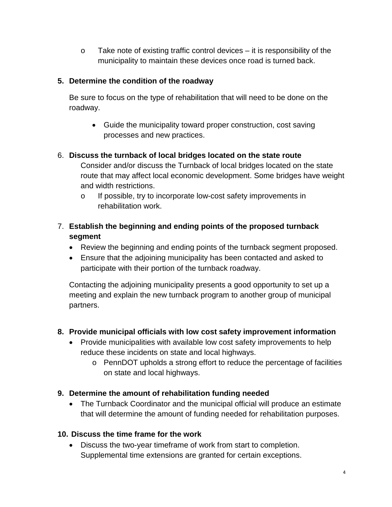$\circ$  Take note of existing traffic control devices – it is responsibility of the municipality to maintain these devices once road is turned back.

# **5. Determine the condition of the roadway**

Be sure to focus on the type of rehabilitation that will need to be done on the roadway.

• Guide the municipality toward proper construction, cost saving processes and new practices.

# 6. **Discuss the turnback of local bridges located on the state route**

Consider and/or discuss the Turnback of local bridges located on the state route that may affect local economic development. Some bridges have weight and width restrictions.

o If possible, try to incorporate low-cost safety improvements in rehabilitation work.

# 7. **Establish the beginning and ending points of the proposed turnback segment**

- Review the beginning and ending points of the turnback segment proposed.
- Ensure that the adjoining municipality has been contacted and asked to participate with their portion of the turnback roadway.

Contacting the adjoining municipality presents a good opportunity to set up a meeting and explain the new turnback program to another group of municipal partners.

# **8. Provide municipal officials with low cost safety improvement information**

- Provide municipalities with available low cost safety improvements to help reduce these incidents on state and local highways.
	- o PennDOT upholds a strong effort to reduce the percentage of facilities on state and local highways.

## **9. Determine the amount of rehabilitation funding needed**

• The Turnback Coordinator and the municipal official will produce an estimate that will determine the amount of funding needed for rehabilitation purposes.

## **10. Discuss the time frame for the work**

• Discuss the two-year timeframe of work from start to completion. Supplemental time extensions are granted for certain exceptions.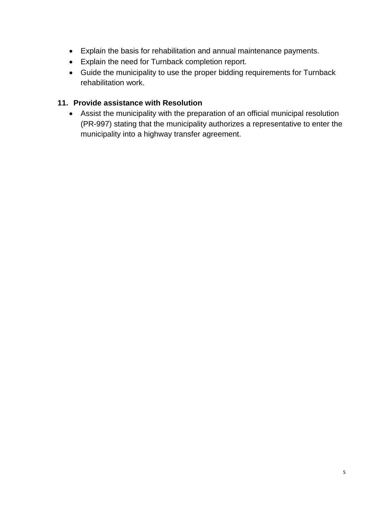- Explain the basis for rehabilitation and annual maintenance payments.
- Explain the need for Turnback completion report.
- Guide the municipality to use the proper bidding requirements for Turnback rehabilitation work.

# **11. Provide assistance with Resolution**

• Assist the municipality with the preparation of an official municipal resolution (PR-997) stating that the municipality authorizes a representative to enter the municipality into a highway transfer agreement.